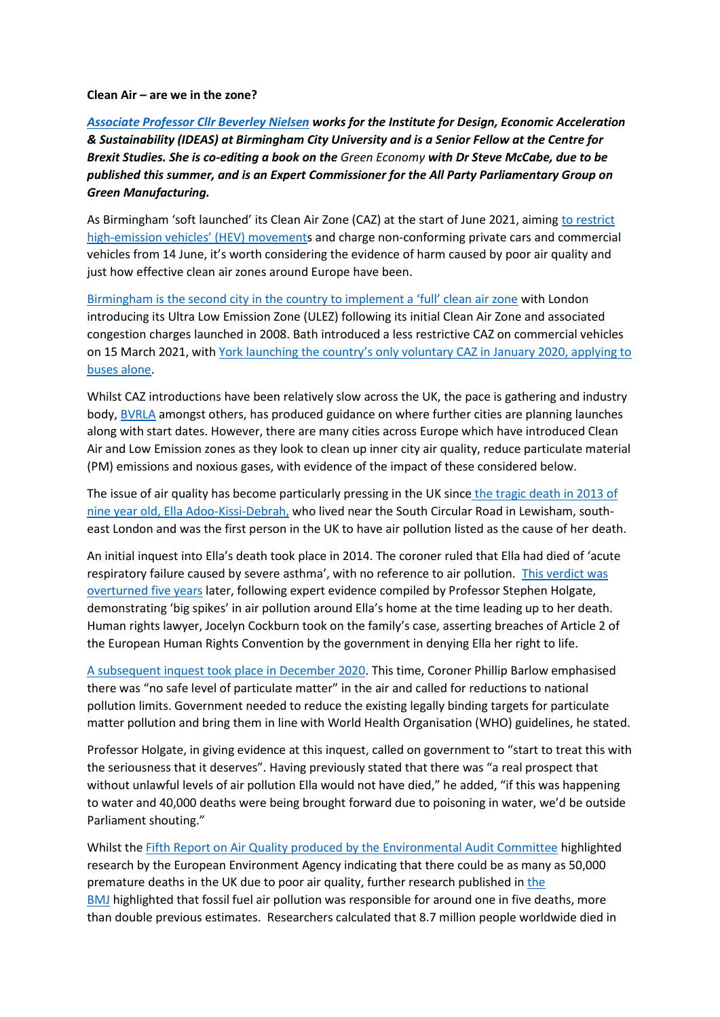**Clean Air – are we in the zone?**

*[Associate Professor Cllr Beverley Nielsen](https://en.wikipedia.org/wiki/Beverley_Nielsen) works for the Institute for Design, Economic Acceleration & Sustainability (IDEAS) at Birmingham City University and is a Senior Fellow at the Centre for Brexit Studies. She is co-editing a book on the Green Economy with Dr Steve McCabe, due to be published this summer, and is an Expert Commissioner for the All Party Parliamentary Group on Green Manufacturing.*

As Birmingham 'soft launched' its Clean Air Zone (CAZ) at the start of June 2021, aiming [to restrict](https://www.bikesure.co.uk/bikesureblog/2020/06/uk-clean-air-zones-caz-explained.html)  high-[emission vehicles' \(HEV\) movement](https://www.bikesure.co.uk/bikesureblog/2020/06/uk-clean-air-zones-caz-explained.html)s and charge non-conforming private cars and commercial vehicles from 14 June, it's worth considering the evidence of harm caused by poor air quality and just how effective clean air zones around Europe have been.

[Birmingham is the second city in the country to implement a 'full' clean air zone](https://thedriven.io/2021/06/04/birmingham-becomes-second-uk-city-to-launch-clean-air-zone-banning-dirty-cars/) with London introducing its Ultra Low Emission Zone (ULEZ) following its initial Clean Air Zone and associated congestion charges launched in 2008. Bath introduced a less restrictive CAZ on commercial vehicles on 15 March 2021, with York laun[ching the country's only voluntary CAZ in January 2020, applying to](https://www.yorkshirepost.co.uk/news/politics/council/yorks-voluntary-clean-air-zone-launches-1743173)  [buses alone.](https://www.yorkshirepost.co.uk/news/politics/council/yorks-voluntary-clean-air-zone-launches-1743173)

Whilst CAZ introductions have been relatively slow across the UK, the pace is gathering and industry body, [BVRLA](https://www.bvrla.co.uk/industry-campaigns/air-quality/clean-air-zones.html) amongst others, has produced guidance on where further cities are planning launches along with start dates. However, there are many cities across Europe which have introduced Clean Air and Low Emission zones as they look to clean up inner city air quality, reduce particulate material (PM) emissions and noxious gases, with evidence of the impact of these considered below.

The issue of air quality has become particularly pressing in the UK since [the tragic death in 2013 of](https://www.bbc.co.uk/news/uk-england-london-56801794)  [nine year old, Ella Adoo-Kissi-Debrah,](https://www.bbc.co.uk/news/uk-england-london-56801794) who lived near the South Circular Road in Lewisham, southeast London and was the first person in the UK to have air pollution listed as the cause of her death.

An initial inquest into Ella's death took place in 2014. The coroner ruled that Ella had died of 'acute respiratory failure caused by severe asthma', with no reference to air pollution. [This verdict was](https://www.theguardian.com/environment/2018/jul/07/in-the-days-around-ellas-death-there-were-big-spikes-in-air-pollution)  [overturned five years](https://www.theguardian.com/environment/2018/jul/07/in-the-days-around-ellas-death-there-were-big-spikes-in-air-pollution) later, following expert evidence compiled by Professor Stephen Holgate, demonstrating 'big spikes' in air pollution around Ella's home at the time leading up to her death. Human rights lawyer, Jocelyn Cockburn took on the family's case, asserting breaches of Article 2 of the European Human Rights Convention by the government in denying Ella her right to life.

[A subsequent inquest took place in December 2020.](https://www.bbc.co.uk/news/uk-england-london-56801794) This time, Coroner Phillip Barlow emphasised there was "no safe level of particulate matter" in the air and called for reductions to national pollution limits. Government needed to reduce the existing legally binding targets for particulate matter pollution and bring them in line with World Health Organisation (WHO) guidelines, he stated.

Professor Holgate, in giving evidence at this inquest, called on government to "start to treat this with the seriousness that it deserves". Having previously stated that there was "a real prospect that without unlawful levels of air pollution Ella would not have died," he added, "if this was happening to water and 40,000 deaths were being brought forward due to poisoning in water, we'd be outside Parliament shouting."

Whilst the [Fifth Report on Air Quality produced by the Environmental Audit Committee](https://publications.parliament.uk/pa/cm200910/cmselect/cmenvaud/229/22905.htm#a5) highlighted research by the European Environment Agency indicating that there could be as many as 50,000 premature deaths in the UK due to poor air quality, further research published in [the](https://www.bmj.com/content/372/bmj.n406.full)  **[BMJ](https://www.bmj.com/content/372/bmj.n406.full)** highlighted that fossil fuel air pollution was responsible for around one in five deaths, more than double previous estimates. Researchers calculated that 8.7 million people worldwide died in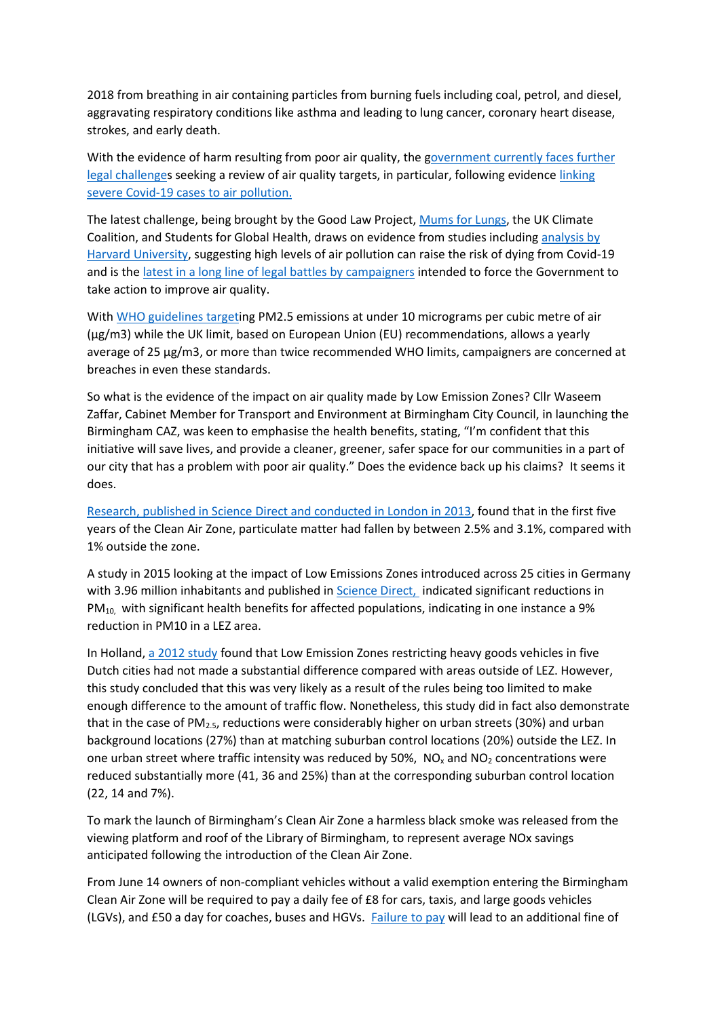2018 from breathing in air containing particles from burning fuels including coal, petrol, and diesel, aggravating respiratory conditions like asthma and leading to lung cancer, coronary heart disease, strokes, and early death.

With the evidence of harm resulting from poor air quality, the government currently faces further [legal challenges](https://inews.co.uk/news/environment/uk-air-quality-targets-government-legal-challenge-clean-air-plans-coronavirus-639488) seeking a review of air quality targets, in particular, following evidence [linking](https://inews.co.uk/news/government-binding-targets-polution-waste-water-biodiversity-uk-582434)  [severe Covid-19 cases to air pollution.](https://inews.co.uk/news/government-binding-targets-polution-waste-water-biodiversity-uk-582434)

The latest challenge, being brought by the Good Law Project, [Mums for Lungs,](https://www.mumsforlungs.org/) the UK Climate Coalition, and Students for Global Health, draws on evidence from studies including [analysis by](https://inews.co.uk/news/air-pollution-death-rate-coronavirus-416520)  [Harvard University,](https://inews.co.uk/news/air-pollution-death-rate-coronavirus-416520) suggesting high levels of air pollution can raise the risk of dying from Covid-19 and is the [latest in a long line of legal battles by campaigners](https://www.clientearth.org/topic/air-pollution/) intended to force the Government to take action to improve air quality.

With [WHO guidelines targeti](https://www.bustle.com/wellness/ella-kissi-debrah-air-pollution-case)ng PM2.5 emissions at under 10 micrograms per cubic metre of air (µg/m3) while the UK limit, based on European Union (EU) recommendations, allows a yearly average of 25 µg/m3, or more than twice recommended WHO limits, campaigners are concerned at breaches in even these standards.

So what is the evidence of the impact on air quality made by Low Emission Zones? Cllr Waseem Zaffar, Cabinet Member for Transport and Environment at Birmingham City Council, in launching the Birmingham CAZ, was keen to emphasise the health benefits, stating, "I'm confident that this initiative will save lives, and provide a cleaner, greener, safer space for our communities in a part of our city that has a problem with poor air quality." Does the evidence back up his claims? It seems it does.

[Research, published in Science Direct and conducted in London in 2013,](https://www.sciencedirect.com/science/article/pii/S136192091300059X) found that in the first five years of the Clean Air Zone, particulate matter had fallen by between 2.5% and 3.1%, compared with 1% outside the zone.

A study in 2015 looking at the impact of Low Emissions Zones introduced across 25 cities in Germany with 3.96 million inhabitants and published in [Science Direct,](https://www.sciencedirect.com/science/article/abs/pii/S0965856415001159) indicated significant reductions in  $PM_{10}$ , with significant health benefits for affected populations, indicating in one instance a 9% reduction in PM10 in a LEZ area.

In Holland, [a 2012 study](https://www.sciencedirect.com/science/article/abs/pii/S0048969712009229) found that Low Emission Zones restricting heavy goods vehicles in five Dutch cities had not made a substantial difference compared with areas outside of LEZ. However, this study concluded that this was very likely as a result of the rules being too limited to make enough difference to the amount of traffic flow. Nonetheless, this study did in fact also demonstrate that in the case of PM<sub>2.5</sub>, reductions were considerably higher on urban streets (30%) and urban background locations (27%) than at matching suburban control locations (20%) outside the LEZ. In one urban street where traffic intensity was reduced by 50%,  $NO<sub>x</sub>$  and  $NO<sub>2</sub>$  concentrations were reduced substantially more (41, 36 and 25%) than at the corresponding suburban control location (22, 14 and 7%).

To mark the launch of Birmingham's Clean Air Zone a harmless black smoke was released from the viewing platform and roof of the Library of Birmingham, to represent average NOx savings anticipated following the introduction of the Clean Air Zone.

From June 14 owners of non-compliant vehicles without a valid exemption entering the Birmingham Clean Air Zone will be required to pay a daily fee of £8 for cars, taxis, and large goods vehicles (LGVs), and £50 a day for coaches, buses and HGVs. [Failure to pay](https://www.birminghammail.co.uk/news/midlands-news/birmingham-clean-air-zone-exemptions-20592614) will lead to an additional fine of